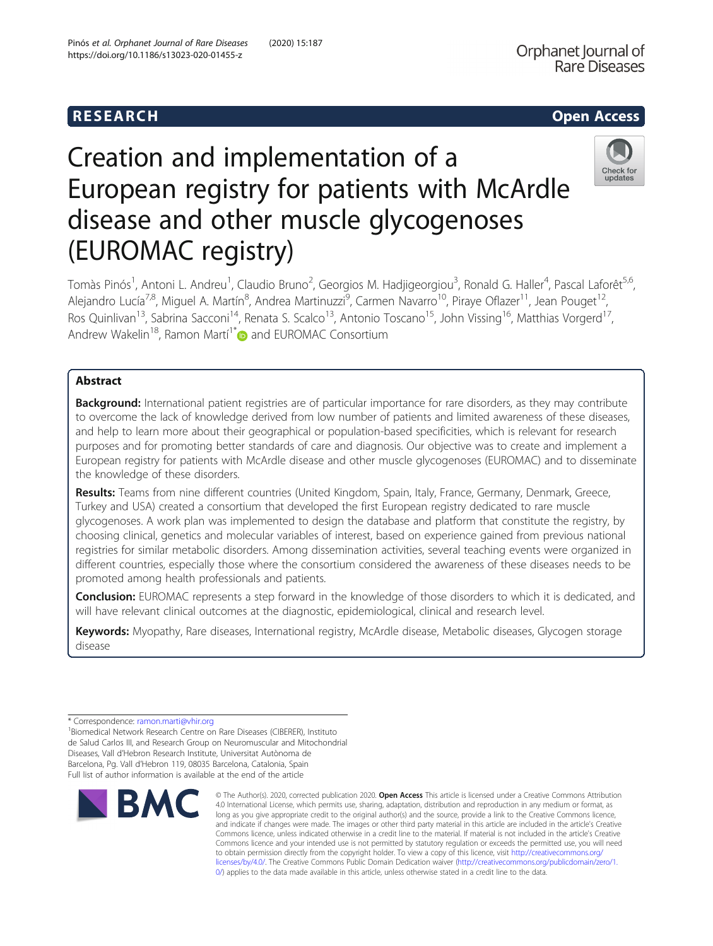## **RESEARCH CHEAR CHEAR CHEAR CHEAR CHEAR CHEAR CHEAR CHEAR CHEAR CHEAR CHEAR CHEAR CHEAR CHEAR CHEAR CHEAR CHEAR**

# Creation and implementation of a European registry for patients with McArdle disease and other muscle glycogenoses (EUROMAC registry)



Tomàs Pinós<sup>1</sup>, Antoni L. Andreu<sup>1</sup>, Claudio Bruno<sup>2</sup>, Georgios M. Hadjigeorgiou<sup>3</sup>, Ronald G. Haller<sup>4</sup>, Pascal Laforêt<sup>5,6</sup>, Alejandro Lucía<sup>7,8</sup>, Miguel A. Martín<sup>8</sup>, Andrea Martinuzzi<sup>9</sup>, Carmen Navarro<sup>10</sup>, Piraye Oflazer<sup>11</sup>, Jean Pouget<sup>12</sup>, Ros Quinlivan<sup>13</sup>, Sabrina Sacconi<sup>14</sup>, Renata S. Scalco<sup>13</sup>, Antonio Toscano<sup>15</sup>, John Vissing<sup>16</sup>, Matthias Vorgerd<sup>17</sup>, Andrew Wakelin<sup>18</sup>, Ramon Martí<sup>1[\\*](http://orcid.org/0000-0002-8273-9540)</sup> and EUROMAC Consortium

## Abstract

**Background:** International patient registries are of particular importance for rare disorders, as they may contribute to overcome the lack of knowledge derived from low number of patients and limited awareness of these diseases, and help to learn more about their geographical or population-based specificities, which is relevant for research purposes and for promoting better standards of care and diagnosis. Our objective was to create and implement a European registry for patients with McArdle disease and other muscle glycogenoses (EUROMAC) and to disseminate the knowledge of these disorders.

Results: Teams from nine different countries (United Kingdom, Spain, Italy, France, Germany, Denmark, Greece, Turkey and USA) created a consortium that developed the first European registry dedicated to rare muscle glycogenoses. A work plan was implemented to design the database and platform that constitute the registry, by choosing clinical, genetics and molecular variables of interest, based on experience gained from previous national registries for similar metabolic disorders. Among dissemination activities, several teaching events were organized in different countries, especially those where the consortium considered the awareness of these diseases needs to be promoted among health professionals and patients.

Conclusion: EUROMAC represents a step forward in the knowledge of those disorders to which it is dedicated, and will have relevant clinical outcomes at the diagnostic, epidemiological, clinical and research level.

Keywords: Myopathy, Rare diseases, International registry, McArdle disease, Metabolic diseases, Glycogen storage disease

\* Correspondence: [ramon.marti@vhir.org](mailto:ramon.marti@vhir.org) <sup>1</sup>

<sup>1</sup>Biomedical Network Research Centre on Rare Diseases (CIBERER), Instituto de Salud Carlos III, and Research Group on Neuromuscular and Mitochondrial Diseases, Vall d'Hebron Research Institute, Universitat Autònoma de Barcelona, Pg. Vall d'Hebron 119, 08035 Barcelona, Catalonia, Spain Full list of author information is available at the end of the article



© The Author(s). 2020, corrected publication 2020. Open Access This article is licensed under a Creative Commons Attribution 4.0 International License, which permits use, sharing, adaptation, distribution and reproduction in any medium or format, as long as you give appropriate credit to the original author(s) and the source, provide a link to the Creative Commons licence, and indicate if changes were made. The images or other third party material in this article are included in the article's Creative Commons licence, unless indicated otherwise in a credit line to the material. If material is not included in the article's Creative Commons licence and your intended use is not permitted by statutory regulation or exceeds the permitted use, you will need to obtain permission directly from the copyright holder. To view a copy of this licence, visit [http://creativecommons.org/](http://creativecommons.org/licenses/by/4.0/) [licenses/by/4.0/.](http://creativecommons.org/licenses/by/4.0/) The Creative Commons Public Domain Dedication waiver ([http://creativecommons.org/publicdomain/zero/1.](http://creativecommons.org/publicdomain/zero/1.0/) [0/\)](http://creativecommons.org/publicdomain/zero/1.0/) applies to the data made available in this article, unless otherwise stated in a credit line to the data.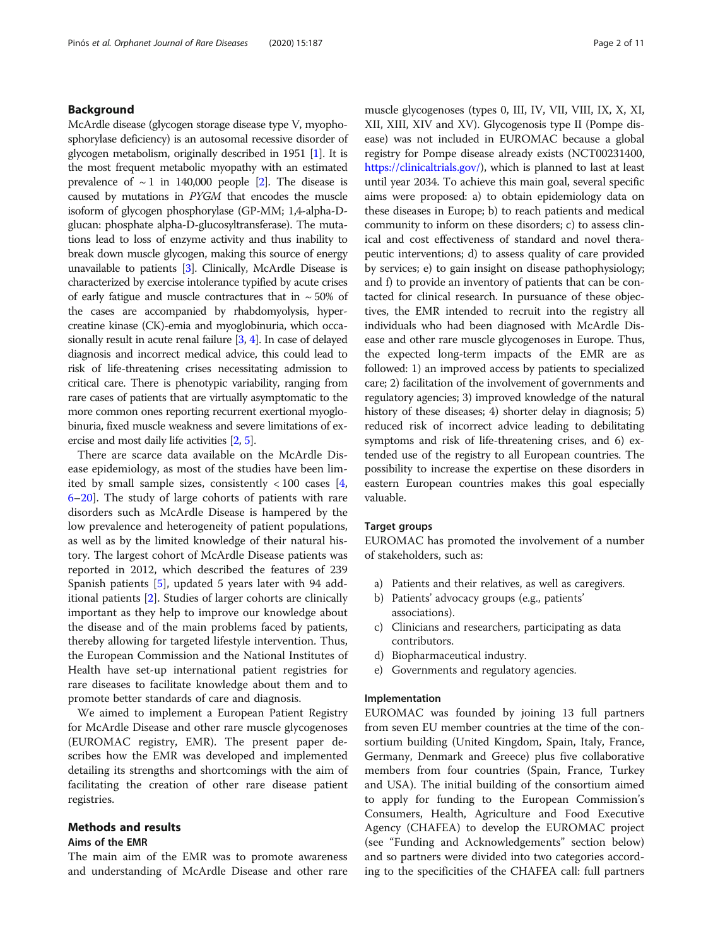#### Background

McArdle disease (glycogen storage disease type V, myophosphorylase deficiency) is an autosomal recessive disorder of glycogen metabolism, originally described in [1](#page-9-0)951  $[1]$ . It is the most frequent metabolic myopathy with an estimated prevalence of  $\sim$  1 in 140,000 people [\[2\]](#page-9-0). The disease is caused by mutations in PYGM that encodes the muscle isoform of glycogen phosphorylase (GP-MM; 1,4-alpha-Dglucan: phosphate alpha-D-glucosyltransferase). The mutations lead to loss of enzyme activity and thus inability to break down muscle glycogen, making this source of energy unavailable to patients [\[3\]](#page-9-0). Clinically, McArdle Disease is characterized by exercise intolerance typified by acute crises of early fatigue and muscle contractures that in  $\sim$  50% of the cases are accompanied by rhabdomyolysis, hypercreatine kinase (CK)-emia and myoglobinuria, which occasionally result in acute renal failure [\[3,](#page-9-0) [4](#page-9-0)]. In case of delayed diagnosis and incorrect medical advice, this could lead to risk of life-threatening crises necessitating admission to critical care. There is phenotypic variability, ranging from rare cases of patients that are virtually asymptomatic to the more common ones reporting recurrent exertional myoglobinuria, fixed muscle weakness and severe limitations of exercise and most daily life activities [\[2,](#page-9-0) [5\]](#page-9-0).

There are scarce data available on the McArdle Disease epidemiology, as most of the studies have been limited by small sample sizes, consistently  $< 100$  cases [\[4](#page-9-0), [6](#page-9-0)–[20](#page-10-0)]. The study of large cohorts of patients with rare disorders such as McArdle Disease is hampered by the low prevalence and heterogeneity of patient populations, as well as by the limited knowledge of their natural history. The largest cohort of McArdle Disease patients was reported in 2012, which described the features of 239 Spanish patients [\[5](#page-9-0)], updated 5 years later with 94 additional patients [\[2](#page-9-0)]. Studies of larger cohorts are clinically important as they help to improve our knowledge about the disease and of the main problems faced by patients, thereby allowing for targeted lifestyle intervention. Thus, the European Commission and the National Institutes of Health have set-up international patient registries for rare diseases to facilitate knowledge about them and to promote better standards of care and diagnosis.

We aimed to implement a European Patient Registry for McArdle Disease and other rare muscle glycogenoses (EUROMAC registry, EMR). The present paper describes how the EMR was developed and implemented detailing its strengths and shortcomings with the aim of facilitating the creation of other rare disease patient registries.

#### Methods and results

#### Aims of the EMR

The main aim of the EMR was to promote awareness and understanding of McArdle Disease and other rare muscle glycogenoses (types 0, III, IV, VII, VIII, IX, X, XI, XII, XIII, XIV and XV). Glycogenosis type II (Pompe disease) was not included in EUROMAC because a global registry for Pompe disease already exists (NCT00231400, <https://clinicaltrials.gov/>), which is planned to last at least until year 2034. To achieve this main goal, several specific aims were proposed: a) to obtain epidemiology data on these diseases in Europe; b) to reach patients and medical community to inform on these disorders; c) to assess clinical and cost effectiveness of standard and novel therapeutic interventions; d) to assess quality of care provided by services; e) to gain insight on disease pathophysiology; and f) to provide an inventory of patients that can be contacted for clinical research. In pursuance of these objectives, the EMR intended to recruit into the registry all individuals who had been diagnosed with McArdle Disease and other rare muscle glycogenoses in Europe. Thus, the expected long-term impacts of the EMR are as followed: 1) an improved access by patients to specialized care; 2) facilitation of the involvement of governments and regulatory agencies; 3) improved knowledge of the natural history of these diseases; 4) shorter delay in diagnosis; 5) reduced risk of incorrect advice leading to debilitating symptoms and risk of life-threatening crises, and 6) extended use of the registry to all European countries. The possibility to increase the expertise on these disorders in eastern European countries makes this goal especially valuable.

#### Target groups

EUROMAC has promoted the involvement of a number of stakeholders, such as:

- a) Patients and their relatives, as well as caregivers.
- b) Patients' advocacy groups (e.g., patients' associations).
- c) Clinicians and researchers, participating as data contributors.
- d) Biopharmaceutical industry.
- e) Governments and regulatory agencies.

#### Implementation

EUROMAC was founded by joining 13 full partners from seven EU member countries at the time of the consortium building (United Kingdom, Spain, Italy, France, Germany, Denmark and Greece) plus five collaborative members from four countries (Spain, France, Turkey and USA). The initial building of the consortium aimed to apply for funding to the European Commission's Consumers, Health, Agriculture and Food Executive Agency (CHAFEA) to develop the EUROMAC project (see "Funding and Acknowledgements" section below) and so partners were divided into two categories according to the specificities of the CHAFEA call: full partners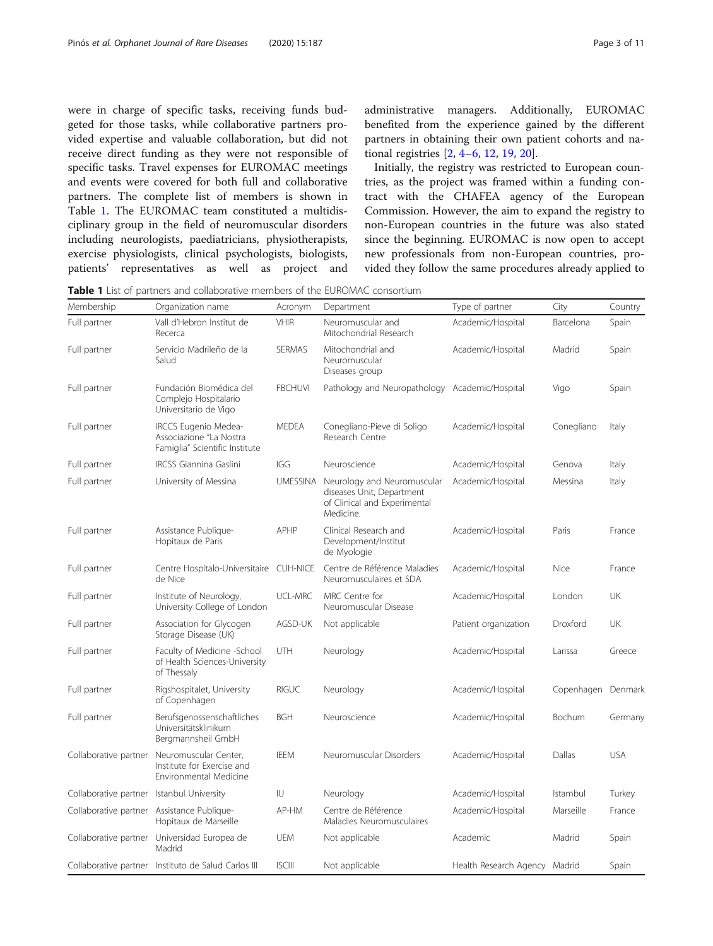were in charge of specific tasks, receiving funds budgeted for those tasks, while collaborative partners provided expertise and valuable collaboration, but did not receive direct funding as they were not responsible of specific tasks. Travel expenses for EUROMAC meetings and events were covered for both full and collaborative partners. The complete list of members is shown in Table 1. The EUROMAC team constituted a multidisciplinary group in the field of neuromuscular disorders including neurologists, paediatricians, physiotherapists, exercise physiologists, clinical psychologists, biologists, patients' representatives as well as project and

administrative managers. Additionally, EUROMAC benefited from the experience gained by the different partners in obtaining their own patient cohorts and national registries [[2,](#page-9-0) [4](#page-9-0)–[6](#page-9-0), [12](#page-10-0), [19](#page-10-0), [20](#page-10-0)].

Initially, the registry was restricted to European countries, as the project was framed within a funding contract with the CHAFEA agency of the European Commission. However, the aim to expand the registry to non-European countries in the future was also stated since the beginning. EUROMAC is now open to accept new professionals from non-European countries, provided they follow the same procedures already applied to

**Table 1** List of partners and collaborative members of the FUROMAC consortium

| Membership                                | Organization name                                                                 | Acronym         | Department                                                                                            | Type of partner               | City               | Country    |
|-------------------------------------------|-----------------------------------------------------------------------------------|-----------------|-------------------------------------------------------------------------------------------------------|-------------------------------|--------------------|------------|
| Full partner                              | Vall d'Hebron Institut de<br>Recerca                                              | <b>VHIR</b>     | Neuromuscular and<br>Mitochondrial Research                                                           | Academic/Hospital             | Barcelona          | Spain      |
| Full partner                              | Servicio Madrileño de la<br>Salud                                                 | <b>SERMAS</b>   | Mitochondrial and<br>Neuromuscular<br>Diseases group                                                  | Academic/Hospital             | Madrid             | Spain      |
| Full partner                              | Fundación Biomédica del<br>Complejo Hospitalario<br>Universitario de Vigo         | <b>FBCHUVI</b>  | Pathology and Neuropathology Academic/Hospital                                                        |                               | Vigo               | Spain      |
| Full partner                              | IRCCS Eugenio Medea-<br>Associazione "La Nostra<br>Famiglia" Scientific Institute | <b>MEDEA</b>    | Conegliano-Pieve di Soligo<br>Research Centre                                                         | Academic/Hospital             | Conegliano         | Italy      |
| Full partner                              | <b>IRCSS Giannina Gaslini</b>                                                     | IGG             | Neuroscience                                                                                          | Academic/Hospital             | Genova             | Italy      |
| Full partner                              | University of Messina                                                             | <b>UMESSINA</b> | Neurology and Neuromuscular<br>diseases Unit, Department<br>of Clinical and Experimental<br>Medicine. | Academic/Hospital             | Messina            | Italy      |
| Full partner                              | Assistance Publique-<br>Hopitaux de Paris                                         | APHP            | Clinical Research and<br>Development/Institut<br>de Myologie                                          | Academic/Hospital             | Paris              | France     |
| Full partner                              | Centre Hospitalo-Universitaire CUH-NICE<br>de Nice                                |                 | Centre de Référence Maladies<br>Neuromusculaires et SDA                                               | Academic/Hospital             | Nice               | France     |
| Full partner                              | Institute of Neurology,<br>University College of London                           | UCL-MRC         | MRC Centre for<br>Neuromuscular Disease                                                               | Academic/Hospital             | London             | UK         |
| Full partner                              | Association for Glycogen<br>Storage Disease (UK)                                  | AGSD-UK         | Not applicable                                                                                        | Patient organization          | Droxford           | UK         |
| Full partner                              | Faculty of Medicine -School<br>of Health Sciences-University<br>of Thessaly       | UTH             | Neurology                                                                                             | Academic/Hospital             | Larissa            | Greece     |
| Full partner                              | Rigshospitalet, University<br>of Copenhagen                                       | <b>RIGUC</b>    | Neurology                                                                                             | Academic/Hospital             | Copenhagen Denmark |            |
| Full partner                              | Berufsgenossenschaftliches<br>Universitätsklinikum<br>Bergmannsheil GmbH          | <b>BGH</b>      | Neuroscience                                                                                          | Academic/Hospital             | Bochum             | Germany    |
| Collaborative partner                     | Neuromuscular Center,<br>Institute for Exercise and<br>Environmental Medicine     | <b>IEEM</b>     | Neuromuscular Disorders                                                                               | Academic/Hospital             | Dallas             | <b>USA</b> |
| Collaborative partner Istanbul University |                                                                                   | IU              | Neurology                                                                                             | Academic/Hospital             | Istambul           | Turkey     |
|                                           | Collaborative partner Assistance Publique-<br>Hopitaux de Marseille               | AP-HM           | Centre de Référence<br>Maladies Neuromusculaires                                                      | Academic/Hospital             | Marseille          | France     |
| Collaborative partner                     | Universidad Europea de<br>Madrid                                                  | <b>UEM</b>      | Not applicable                                                                                        | Academic                      | Madrid             | Spain      |
|                                           | Collaborative partner Instituto de Salud Carlos III                               | <b>ISCIII</b>   | Not applicable                                                                                        | Health Research Agency Madrid |                    | Spain      |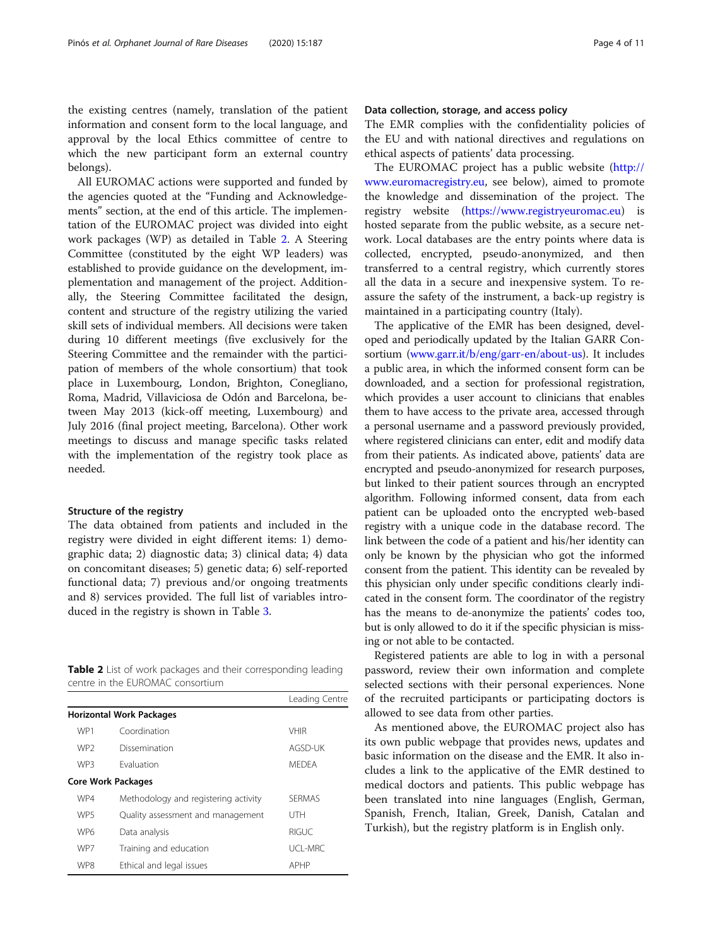<span id="page-3-0"></span>the existing centres (namely, translation of the patient information and consent form to the local language, and approval by the local Ethics committee of centre to which the new participant form an external country belongs).

All EUROMAC actions were supported and funded by the agencies quoted at the "Funding and Acknowledgements" section, at the end of this article. The implementation of the EUROMAC project was divided into eight work packages (WP) as detailed in Table 2. A Steering Committee (constituted by the eight WP leaders) was established to provide guidance on the development, implementation and management of the project. Additionally, the Steering Committee facilitated the design, content and structure of the registry utilizing the varied skill sets of individual members. All decisions were taken during 10 different meetings (five exclusively for the Steering Committee and the remainder with the participation of members of the whole consortium) that took place in Luxembourg, London, Brighton, Conegliano, Roma, Madrid, Villaviciosa de Odón and Barcelona, between May 2013 (kick-off meeting, Luxembourg) and July 2016 (final project meeting, Barcelona). Other work meetings to discuss and manage specific tasks related with the implementation of the registry took place as needed.

#### Structure of the registry

The data obtained from patients and included in the registry were divided in eight different items: 1) demographic data; 2) diagnostic data; 3) clinical data; 4) data on concomitant diseases; 5) genetic data; 6) self-reported functional data; 7) previous and/or ongoing treatments and 8) services provided. The full list of variables introduced in the registry is shown in Table [3.](#page-4-0)

Table 2 List of work packages and their corresponding leading centre in the EUROMAC consortium

|                 |                                      | Leading Centre |
|-----------------|--------------------------------------|----------------|
|                 | <b>Horizontal Work Packages</b>      |                |
| WP1             | Coordination                         | <b>VHIR</b>    |
| WP <sub>2</sub> | Dissemination                        | AGSD-UK        |
| WP3             | <b>Evaluation</b>                    | <b>MEDEA</b>   |
|                 | <b>Core Work Packages</b>            |                |
| WP4             | Methodology and registering activity | <b>SERMAS</b>  |
| WP <sub>5</sub> | Quality assessment and management    | UTH            |
| WP6             | Data analysis                        | <b>RIGUC</b>   |
| WP7             | Training and education               | UCI-MRC        |
| WP8             | Ethical and legal issues             | APHP           |

#### Data collection, storage, and access policy

The EMR complies with the confidentiality policies of the EU and with national directives and regulations on ethical aspects of patients' data processing.

The EUROMAC project has a public website [\(http://](http://www.euromacregistry.eu) [www.euromacregistry.eu](http://www.euromacregistry.eu), see below), aimed to promote the knowledge and dissemination of the project. The registry website (<https://www.registryeuromac.eu>) is hosted separate from the public website, as a secure network. Local databases are the entry points where data is collected, encrypted, pseudo-anonymized, and then transferred to a central registry, which currently stores all the data in a secure and inexpensive system. To reassure the safety of the instrument, a back-up registry is maintained in a participating country (Italy).

The applicative of the EMR has been designed, developed and periodically updated by the Italian GARR Consortium ([www.garr.it/b/eng/garr-en/about-us](http://www.garr.it/b/eng/garr-en/about-us)). It includes a public area, in which the informed consent form can be downloaded, and a section for professional registration, which provides a user account to clinicians that enables them to have access to the private area, accessed through a personal username and a password previously provided, where registered clinicians can enter, edit and modify data from their patients. As indicated above, patients' data are encrypted and pseudo-anonymized for research purposes, but linked to their patient sources through an encrypted algorithm. Following informed consent, data from each patient can be uploaded onto the encrypted web-based registry with a unique code in the database record. The link between the code of a patient and his/her identity can only be known by the physician who got the informed consent from the patient. This identity can be revealed by this physician only under specific conditions clearly indicated in the consent form. The coordinator of the registry has the means to de-anonymize the patients' codes too, but is only allowed to do it if the specific physician is missing or not able to be contacted.

Registered patients are able to log in with a personal password, review their own information and complete selected sections with their personal experiences. None of the recruited participants or participating doctors is allowed to see data from other parties.

As mentioned above, the EUROMAC project also has its own public webpage that provides news, updates and basic information on the disease and the EMR. It also includes a link to the applicative of the EMR destined to medical doctors and patients. This public webpage has been translated into nine languages (English, German, Spanish, French, Italian, Greek, Danish, Catalan and Turkish), but the registry platform is in English only.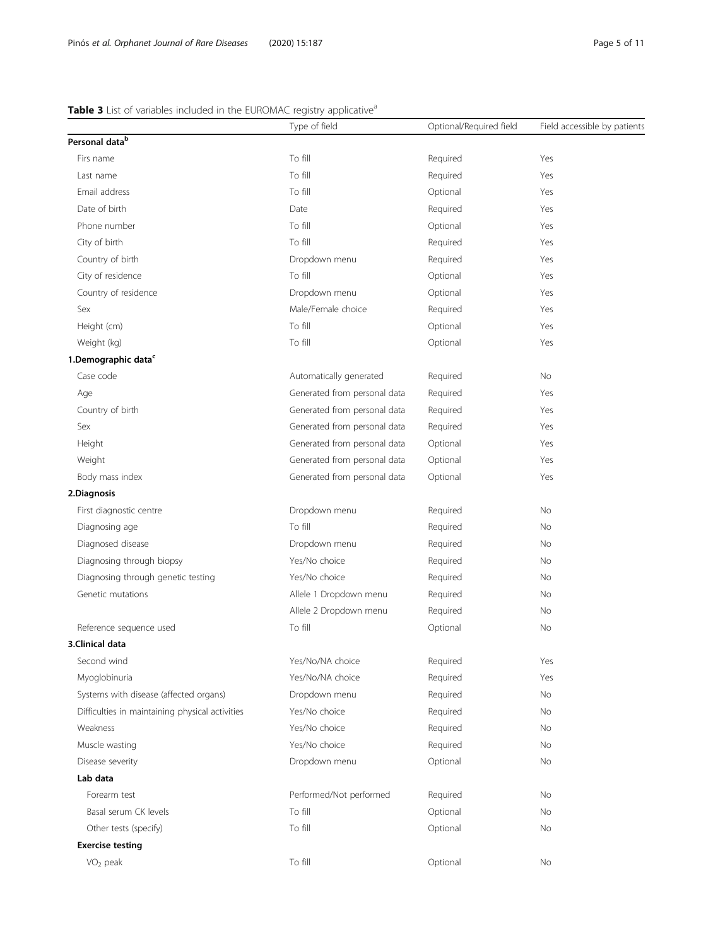## <span id="page-4-0"></span>Table 3 List of variables included in the EUROMAC registry applicative<sup>a</sup>

|                                                 | Type of field                | Optional/Required field | Field accessible by patients |
|-------------------------------------------------|------------------------------|-------------------------|------------------------------|
| Personal data <sup>b</sup>                      |                              |                         |                              |
| Firs name                                       | To fill                      | Required                | Yes                          |
| Last name                                       | To fill                      | Required                | Yes                          |
| Email address                                   | To fill                      | Optional                | Yes                          |
| Date of birth                                   | Date                         | Required                | Yes                          |
| Phone number                                    | To fill                      | Optional                | Yes                          |
| City of birth                                   | To fill                      | Required                | Yes                          |
| Country of birth                                | Dropdown menu                | Required                | Yes                          |
| City of residence                               | To fill                      | Optional                | Yes                          |
| Country of residence                            | Dropdown menu                | Optional                | Yes                          |
| Sex                                             | Male/Female choice           | Required                | Yes                          |
| Height (cm)                                     | To fill                      | Optional                | Yes                          |
| Weight (kg)                                     | To fill                      | Optional                | Yes                          |
| 1.Demographic data <sup>c</sup>                 |                              |                         |                              |
| Case code                                       | Automatically generated      | Required                | No                           |
| Age                                             | Generated from personal data | Required                | Yes                          |
| Country of birth                                | Generated from personal data | Required                | Yes                          |
| Sex                                             | Generated from personal data | Required                | Yes                          |
| Height                                          | Generated from personal data | Optional                | Yes                          |
| Weight                                          | Generated from personal data | Optional                | Yes                          |
| Body mass index                                 | Generated from personal data | Optional                | Yes                          |
| 2.Diagnosis                                     |                              |                         |                              |
| First diagnostic centre                         | Dropdown menu                | Required                | No                           |
| Diagnosing age                                  | To fill                      | Required                | No                           |
| Diagnosed disease                               | Dropdown menu                | Required                | No                           |
| Diagnosing through biopsy                       | Yes/No choice                | Required                | No                           |
| Diagnosing through genetic testing              | Yes/No choice                | Required                | No                           |
| Genetic mutations                               | Allele 1 Dropdown menu       | Required                | No                           |
|                                                 | Allele 2 Dropdown menu       | Required                | No                           |
| Reference sequence used                         | To fill                      | Optional                | No                           |
| 3.Clinical data                                 |                              |                         |                              |
| Second wind                                     | Yes/No/NA choice             | Required                | Yes                          |
| Myoglobinuria                                   | Yes/No/NA choice             | Required                | Yes                          |
| Systems with disease (affected organs)          | Dropdown menu                | Required                | No                           |
| Difficulties in maintaining physical activities | Yes/No choice                | Required                | No                           |
| Weakness                                        | Yes/No choice                | Required                | No                           |
| Muscle wasting                                  | Yes/No choice                | Required                | No                           |
| Disease severity                                | Dropdown menu                | Optional                | No                           |
| Lab data                                        |                              |                         |                              |
| Forearm test                                    | Performed/Not performed      | Required                | No                           |
| Basal serum CK levels                           | To fill                      | Optional                | No                           |
| Other tests (specify)                           | To fill                      | Optional                | No                           |
| <b>Exercise testing</b>                         |                              |                         |                              |
| $VO2$ peak                                      | To fill                      | Optional                | No                           |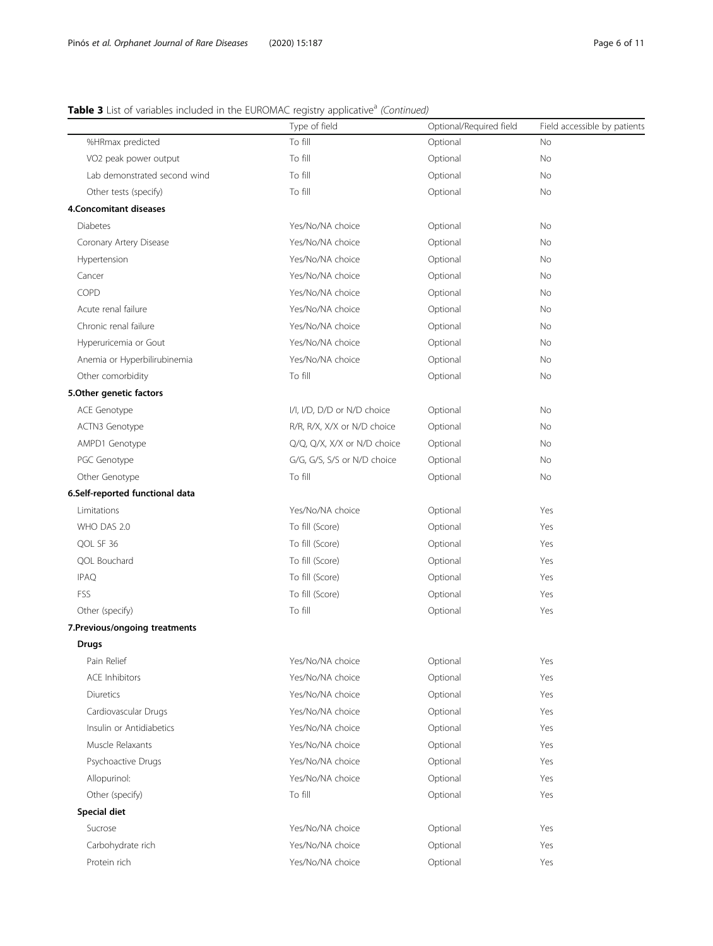#### Table 3 List of variables included in the EUROMAC registry applicative<sup>a</sup> (Continued)

|                                 | . .<br>Type of field        | Optional/Required field | Field accessible by patients |
|---------------------------------|-----------------------------|-------------------------|------------------------------|
| %HRmax predicted                | To fill                     | Optional                | No                           |
| VO2 peak power output           | To fill                     | Optional                | No                           |
| Lab demonstrated second wind    | To fill                     | Optional                | No                           |
| Other tests (specify)           | To fill                     | Optional                | No                           |
| 4. Concomitant diseases         |                             |                         |                              |
| <b>Diabetes</b>                 | Yes/No/NA choice            | Optional                | No                           |
| Coronary Artery Disease         | Yes/No/NA choice            | Optional                | No                           |
| Hypertension                    | Yes/No/NA choice            | Optional                | No                           |
| Cancer                          | Yes/No/NA choice            | Optional                | No                           |
| COPD                            | Yes/No/NA choice            | Optional                | No                           |
| Acute renal failure             | Yes/No/NA choice            | Optional                | No                           |
| Chronic renal failure           | Yes/No/NA choice            | Optional                | No                           |
| Hyperuricemia or Gout           | Yes/No/NA choice            | Optional                | No                           |
| Anemia or Hyperbilirubinemia    | Yes/No/NA choice            | Optional                | No                           |
| Other comorbidity               | To fill                     | Optional                | No                           |
| 5.Other genetic factors         |                             |                         |                              |
| ACE Genotype                    | I/I, I/D, D/D or N/D choice | Optional                | No                           |
| ACTN3 Genotype                  | R/R, R/X, X/X or N/D choice | Optional                | No                           |
| AMPD1 Genotype                  | Q/Q, Q/X, X/X or N/D choice | Optional                | No                           |
| PGC Genotype                    | G/G, G/S, S/S or N/D choice | Optional                | No                           |
| Other Genotype                  | To fill                     | Optional                | No                           |
| 6.Self-reported functional data |                             |                         |                              |
| Limitations                     | Yes/No/NA choice            | Optional                | Yes                          |
| WHO DAS 2.0                     | To fill (Score)             | Optional                | Yes                          |
| QOL SF 36                       | To fill (Score)             | Optional                | Yes                          |
| QOL Bouchard                    | To fill (Score)             | Optional                | Yes                          |
| <b>IPAQ</b>                     | To fill (Score)             | Optional                | Yes                          |
| FSS                             | To fill (Score)             | Optional                | Yes                          |
| Other (specify)                 | To fill                     | Optional                | Yes                          |
| 7. Previous/ongoing treatments  |                             |                         |                              |
| <b>Drugs</b>                    |                             |                         |                              |
| Pain Relief                     | Yes/No/NA choice            | Optional                | Yes                          |
| <b>ACE Inhibitors</b>           | Yes/No/NA choice            | Optional                | Yes                          |
| Diuretics                       | Yes/No/NA choice            | Optional                | Yes                          |
| Cardiovascular Drugs            | Yes/No/NA choice            | Optional                | Yes                          |
| Insulin or Antidiabetics        | Yes/No/NA choice            | Optional                | Yes                          |
| Muscle Relaxants                | Yes/No/NA choice            | Optional                | Yes                          |
| Psychoactive Drugs              | Yes/No/NA choice            | Optional                | Yes                          |
| Allopurinol:                    | Yes/No/NA choice            | Optional                | Yes                          |
| Other (specify)                 | To fill                     | Optional                | Yes                          |
| <b>Special diet</b>             |                             |                         |                              |
| Sucrose                         | Yes/No/NA choice            | Optional                | Yes                          |
| Carbohydrate rich               | Yes/No/NA choice            | Optional                | Yes                          |
| Protein rich                    | Yes/No/NA choice            | Optional                | Yes                          |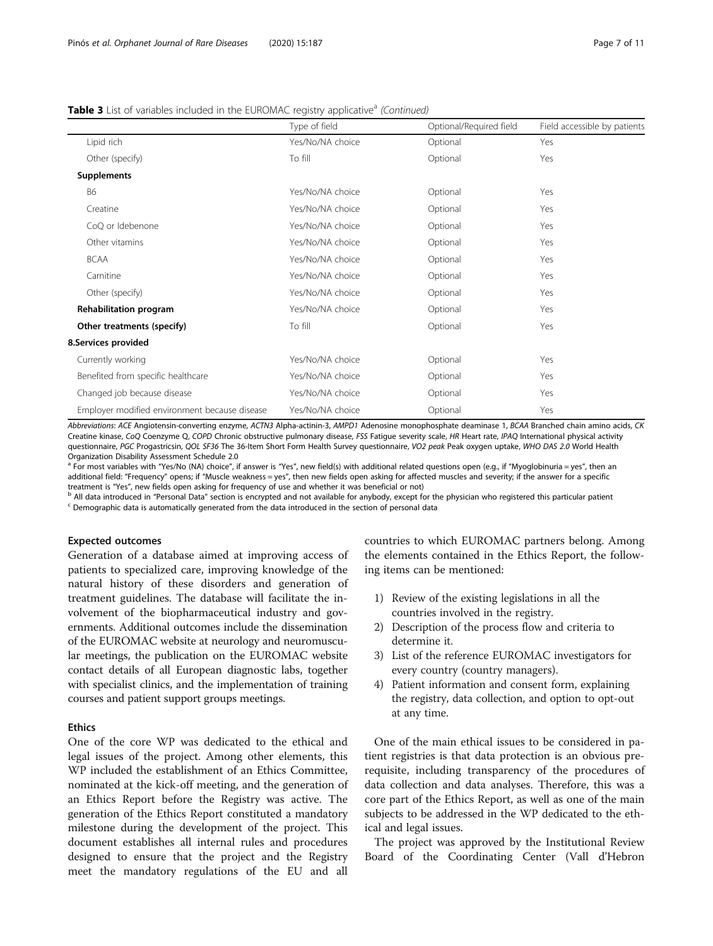#### **Table 3** List of variables included in the EUROMAC registry applicative<sup>a</sup> (Continued)

|                                               | Type of field    | Optional/Required field | Field accessible by patients |
|-----------------------------------------------|------------------|-------------------------|------------------------------|
| Lipid rich                                    | Yes/No/NA choice | Optional                | Yes                          |
| Other (specify)                               | To fill          | Optional                | Yes                          |
| <b>Supplements</b>                            |                  |                         |                              |
| <b>B6</b>                                     | Yes/No/NA choice | Optional                | Yes                          |
| Creatine                                      | Yes/No/NA choice | Optional                | Yes                          |
| CoQ or Idebenone                              | Yes/No/NA choice | Optional                | Yes                          |
| Other vitamins                                | Yes/No/NA choice | Optional                | Yes                          |
| <b>BCAA</b>                                   | Yes/No/NA choice | Optional                | Yes                          |
| Carnitine                                     | Yes/No/NA choice | Optional                | Yes                          |
| Other (specify)                               | Yes/No/NA choice | Optional                | Yes                          |
| Rehabilitation program                        | Yes/No/NA choice | Optional                | Yes                          |
| Other treatments (specify)                    | To fill          | Optional                | Yes                          |
| 8.Services provided                           |                  |                         |                              |
| Currently working                             | Yes/No/NA choice | Optional                | Yes                          |
| Benefited from specific healthcare            | Yes/No/NA choice | Optional                | Yes                          |
| Changed job because disease                   | Yes/No/NA choice | Optional                | Yes                          |
| Employer modified environment because disease | Yes/No/NA choice | Optional                | Yes                          |

Abbreviations: ACE Angiotensin-converting enzyme, ACTN3 Alpha-actinin-3, AMPD1 Adenosine monophosphate deaminase 1, BCAA Branched chain amino acids, CK Creatine kinase, CoQ Coenzyme Q, COPD Chronic obstructive pulmonary disease, FSS Fatigue severity scale, HR Heart rate, IPAQ International physical activity questionnaire, PGC Progastricsin, QOL SF36 The 36-Item Short Form Health Survey questionnaire, VO2 peak Peak oxygen uptake, WHO DAS 2.0 World Health Organization Disability Assessment Schedule 2.0

<sup>a</sup> For most variables with "Yes/No (NA) choice", if answer is "Yes", new field(s) with additional related questions open (e.g., if "Myoglobinuria = yes", then an additional field: "Frequency" opens; if "Muscle weakness = yes", then new fields open asking for affected muscles and severity; if the answer for a specific

treatment is "Yes", new fields open asking for frequency of use and whether it was beneficial or not)<br><sup>b</sup> All data introduced in "Personal Data" section is encrypted and not available for anybody, except for the physician

#### Expected outcomes

Generation of a database aimed at improving access of patients to specialized care, improving knowledge of the natural history of these disorders and generation of treatment guidelines. The database will facilitate the involvement of the biopharmaceutical industry and governments. Additional outcomes include the dissemination of the EUROMAC website at neurology and neuromuscular meetings, the publication on the EUROMAC website contact details of all European diagnostic labs, together with specialist clinics, and the implementation of training courses and patient support groups meetings.

#### **Ethics**

One of the core WP was dedicated to the ethical and legal issues of the project. Among other elements, this WP included the establishment of an Ethics Committee, nominated at the kick-off meeting, and the generation of an Ethics Report before the Registry was active. The generation of the Ethics Report constituted a mandatory milestone during the development of the project. This document establishes all internal rules and procedures designed to ensure that the project and the Registry meet the mandatory regulations of the EU and all countries to which EUROMAC partners belong. Among the elements contained in the Ethics Report, the following items can be mentioned:

- 1) Review of the existing legislations in all the countries involved in the registry.
- 2) Description of the process flow and criteria to determine it.
- 3) List of the reference EUROMAC investigators for every country (country managers).
- 4) Patient information and consent form, explaining the registry, data collection, and option to opt-out at any time.

One of the main ethical issues to be considered in patient registries is that data protection is an obvious prerequisite, including transparency of the procedures of data collection and data analyses. Therefore, this was a core part of the Ethics Report, as well as one of the main subjects to be addressed in the WP dedicated to the ethical and legal issues.

The project was approved by the Institutional Review Board of the Coordinating Center (Vall d'Hebron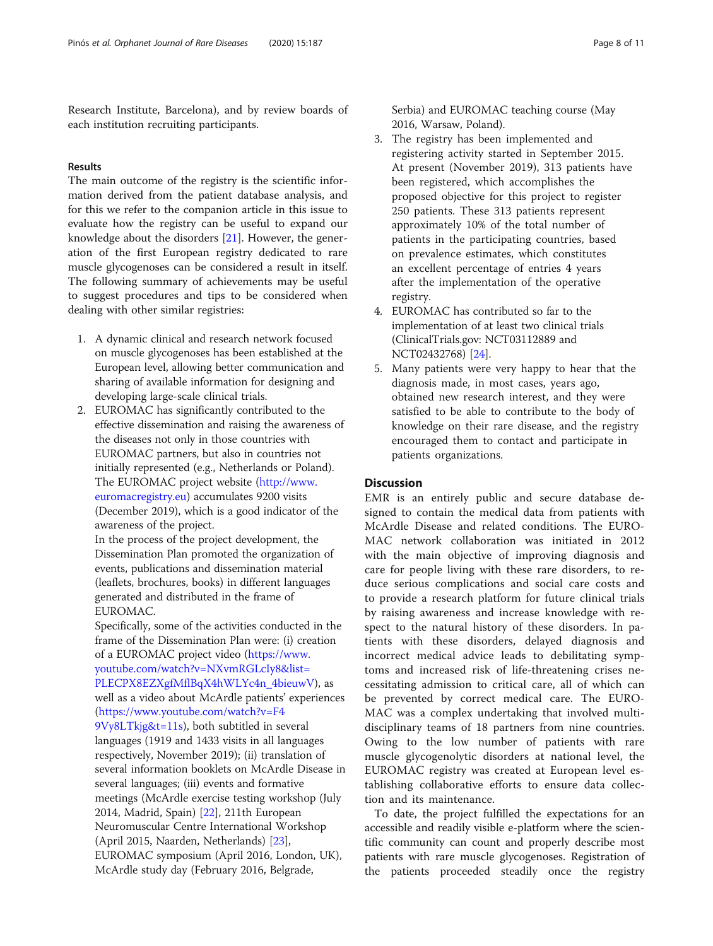Research Institute, Barcelona), and by review boards of each institution recruiting participants.

#### Results

The main outcome of the registry is the scientific information derived from the patient database analysis, and for this we refer to the companion article in this issue to evaluate how the registry can be useful to expand our knowledge about the disorders [[21\]](#page-10-0). However, the generation of the first European registry dedicated to rare muscle glycogenoses can be considered a result in itself. The following summary of achievements may be useful to suggest procedures and tips to be considered when dealing with other similar registries:

- 1. A dynamic clinical and research network focused on muscle glycogenoses has been established at the European level, allowing better communication and sharing of available information for designing and developing large-scale clinical trials.
- 2. EUROMAC has significantly contributed to the effective dissemination and raising the awareness of the diseases not only in those countries with EUROMAC partners, but also in countries not initially represented (e.g., Netherlands or Poland). The EUROMAC project website ([http://www.](http://www.euromacregistry.eu) [euromacregistry.eu\)](http://www.euromacregistry.eu) accumulates 9200 visits (December 2019), which is a good indicator of the awareness of the project. In the process of the project development, the

Dissemination Plan promoted the organization of events, publications and dissemination material (leaflets, brochures, books) in different languages generated and distributed in the frame of EUROMAC.

Specifically, some of the activities conducted in the frame of the Dissemination Plan were: (i) creation of a EUROMAC project video [\(https://www.](https://www.youtube.com/watch?v=NXvmRGLcIy8&list=PLECPX8EZXgfMflBqX4hWLYc4n_4bieuwV) [youtube.com/watch?v=NXvmRGLcIy8&list=](https://www.youtube.com/watch?v=NXvmRGLcIy8&list=PLECPX8EZXgfMflBqX4hWLYc4n_4bieuwV) [PLECPX8EZXgfMflBqX4hWLYc4n\\_4bieuwV\)](https://www.youtube.com/watch?v=NXvmRGLcIy8&list=PLECPX8EZXgfMflBqX4hWLYc4n_4bieuwV), as well as a video about McArdle patients' experiences [\(https://www.youtube.com/watch?v=F4](https://www.youtube.com/watch?v=F49Vy8LTkjg&t=11s) [9Vy8LTkjg&t=11s\)](https://www.youtube.com/watch?v=F49Vy8LTkjg&t=11s), both subtitled in several languages (1919 and 1433 visits in all languages respectively, November 2019); (ii) translation of several information booklets on McArdle Disease in several languages; (iii) events and formative meetings (McArdle exercise testing workshop (July 2014, Madrid, Spain) [[22](#page-10-0)], 211th European Neuromuscular Centre International Workshop (April 2015, Naarden, Netherlands) [\[23\]](#page-10-0),

EUROMAC symposium (April 2016, London, UK), McArdle study day (February 2016, Belgrade,

Serbia) and EUROMAC teaching course (May 2016, Warsaw, Poland).

- 3. The registry has been implemented and registering activity started in September 2015. At present (November 2019), 313 patients have been registered, which accomplishes the proposed objective for this project to register 250 patients. These 313 patients represent approximately 10% of the total number of patients in the participating countries, based on prevalence estimates, which constitutes an excellent percentage of entries 4 years after the implementation of the operative registry.
- 4. EUROMAC has contributed so far to the implementation of at least two clinical trials (ClinicalTrials.gov: NCT03112889 and NCT02432768) [[24](#page-10-0)].
- 5. Many patients were very happy to hear that the diagnosis made, in most cases, years ago, obtained new research interest, and they were satisfied to be able to contribute to the body of knowledge on their rare disease, and the registry encouraged them to contact and participate in patients organizations.

#### **Discussion**

EMR is an entirely public and secure database designed to contain the medical data from patients with McArdle Disease and related conditions. The EURO-MAC network collaboration was initiated in 2012 with the main objective of improving diagnosis and care for people living with these rare disorders, to reduce serious complications and social care costs and to provide a research platform for future clinical trials by raising awareness and increase knowledge with respect to the natural history of these disorders. In patients with these disorders, delayed diagnosis and incorrect medical advice leads to debilitating symptoms and increased risk of life-threatening crises necessitating admission to critical care, all of which can be prevented by correct medical care. The EURO-MAC was a complex undertaking that involved multidisciplinary teams of 18 partners from nine countries. Owing to the low number of patients with rare muscle glycogenolytic disorders at national level, the EUROMAC registry was created at European level establishing collaborative efforts to ensure data collection and its maintenance.

To date, the project fulfilled the expectations for an accessible and readily visible e-platform where the scientific community can count and properly describe most patients with rare muscle glycogenoses. Registration of the patients proceeded steadily once the registry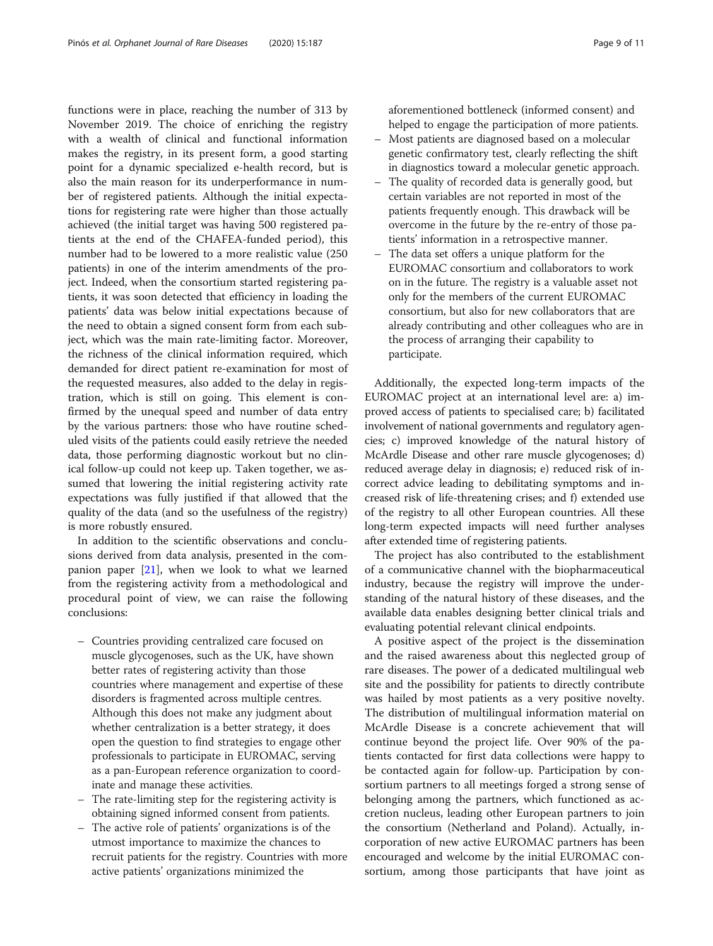functions were in place, reaching the number of 313 by November 2019. The choice of enriching the registry with a wealth of clinical and functional information makes the registry, in its present form, a good starting point for a dynamic specialized e-health record, but is also the main reason for its underperformance in number of registered patients. Although the initial expectations for registering rate were higher than those actually achieved (the initial target was having 500 registered patients at the end of the CHAFEA-funded period), this number had to be lowered to a more realistic value (250 patients) in one of the interim amendments of the project. Indeed, when the consortium started registering patients, it was soon detected that efficiency in loading the patients' data was below initial expectations because of the need to obtain a signed consent form from each subject, which was the main rate-limiting factor. Moreover, the richness of the clinical information required, which demanded for direct patient re-examination for most of the requested measures, also added to the delay in registration, which is still on going. This element is confirmed by the unequal speed and number of data entry by the various partners: those who have routine scheduled visits of the patients could easily retrieve the needed data, those performing diagnostic workout but no clinical follow-up could not keep up. Taken together, we assumed that lowering the initial registering activity rate expectations was fully justified if that allowed that the quality of the data (and so the usefulness of the registry) is more robustly ensured.

In addition to the scientific observations and conclusions derived from data analysis, presented in the companion paper [[21\]](#page-10-0), when we look to what we learned from the registering activity from a methodological and procedural point of view, we can raise the following conclusions:

- Countries providing centralized care focused on muscle glycogenoses, such as the UK, have shown better rates of registering activity than those countries where management and expertise of these disorders is fragmented across multiple centres. Although this does not make any judgment about whether centralization is a better strategy, it does open the question to find strategies to engage other professionals to participate in EUROMAC, serving as a pan-European reference organization to coordinate and manage these activities.
- The rate-limiting step for the registering activity is obtaining signed informed consent from patients.
- The active role of patients' organizations is of the utmost importance to maximize the chances to recruit patients for the registry. Countries with more active patients' organizations minimized the
- Most patients are diagnosed based on a molecular genetic confirmatory test, clearly reflecting the shift in diagnostics toward a molecular genetic approach.
- The quality of recorded data is generally good, but certain variables are not reported in most of the patients frequently enough. This drawback will be overcome in the future by the re-entry of those patients' information in a retrospective manner.
- The data set offers a unique platform for the EUROMAC consortium and collaborators to work on in the future. The registry is a valuable asset not only for the members of the current EUROMAC consortium, but also for new collaborators that are already contributing and other colleagues who are in the process of arranging their capability to participate.

Additionally, the expected long-term impacts of the EUROMAC project at an international level are: a) improved access of patients to specialised care; b) facilitated involvement of national governments and regulatory agencies; c) improved knowledge of the natural history of McArdle Disease and other rare muscle glycogenoses; d) reduced average delay in diagnosis; e) reduced risk of incorrect advice leading to debilitating symptoms and increased risk of life-threatening crises; and f) extended use of the registry to all other European countries. All these long-term expected impacts will need further analyses after extended time of registering patients.

The project has also contributed to the establishment of a communicative channel with the biopharmaceutical industry, because the registry will improve the understanding of the natural history of these diseases, and the available data enables designing better clinical trials and evaluating potential relevant clinical endpoints.

A positive aspect of the project is the dissemination and the raised awareness about this neglected group of rare diseases. The power of a dedicated multilingual web site and the possibility for patients to directly contribute was hailed by most patients as a very positive novelty. The distribution of multilingual information material on McArdle Disease is a concrete achievement that will continue beyond the project life. Over 90% of the patients contacted for first data collections were happy to be contacted again for follow-up. Participation by consortium partners to all meetings forged a strong sense of belonging among the partners, which functioned as accretion nucleus, leading other European partners to join the consortium (Netherland and Poland). Actually, incorporation of new active EUROMAC partners has been encouraged and welcome by the initial EUROMAC consortium, among those participants that have joint as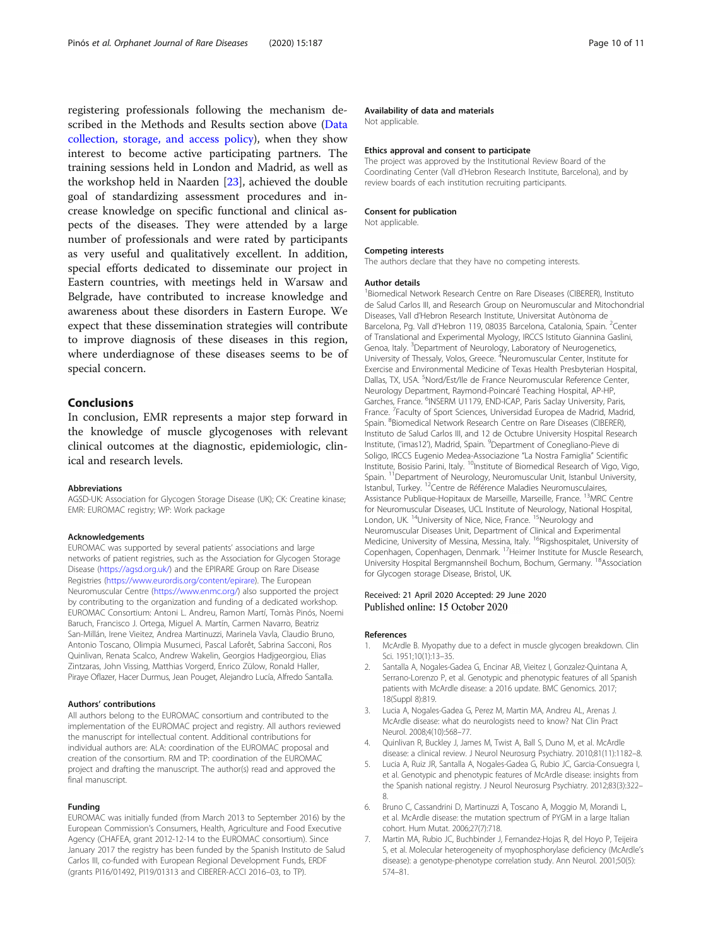<span id="page-9-0"></span>registering professionals following the mechanism described in the Methods and Results section above [\(Data](#page-3-0) [collection, storage, and access policy\)](#page-3-0), when they show interest to become active participating partners. The training sessions held in London and Madrid, as well as the workshop held in Naarden [[23\]](#page-10-0), achieved the double goal of standardizing assessment procedures and increase knowledge on specific functional and clinical aspects of the diseases. They were attended by a large number of professionals and were rated by participants as very useful and qualitatively excellent. In addition, special efforts dedicated to disseminate our project in Eastern countries, with meetings held in Warsaw and Belgrade, have contributed to increase knowledge and awareness about these disorders in Eastern Europe. We expect that these dissemination strategies will contribute to improve diagnosis of these diseases in this region, where underdiagnose of these diseases seems to be of special concern.

#### Conclusions

In conclusion, EMR represents a major step forward in the knowledge of muscle glycogenoses with relevant clinical outcomes at the diagnostic, epidemiologic, clinical and research levels.

#### Abbreviations

AGSD-UK: Association for Glycogen Storage Disease (UK); CK: Creatine kinase; EMR: EUROMAC registry; WP: Work package

#### Acknowledgements

EUROMAC was supported by several patients' associations and large networks of patient registries, such as the Association for Glycogen Storage Disease [\(https://agsd.org.uk/\)](https://agsd.org.uk/) and the EPIRARE Group on Rare Disease Registries ([https://www.eurordis.org/content/epirare\)](https://www.eurordis.org/content/epirare). The European Neuromuscular Centre ([https://www.enmc.org/\)](https://www.enmc.org/) also supported the project by contributing to the organization and funding of a dedicated workshop. EUROMAC Consortium: Antoni L. Andreu, Ramon Martí, Tomàs Pinós, Noemi Baruch, Francisco J. Ortega, Miguel A. Martín, Carmen Navarro, Beatriz San-Millán, Irene Vieitez, Andrea Martinuzzi, Marinela Vavla, Claudio Bruno, Antonio Toscano, Olimpia Musumeci, Pascal Laforêt, Sabrina Sacconi, Ros Quinlivan, Renata Scalco, Andrew Wakelin, Georgios Hadjgeorgiou, Elias Zintzaras, John Vissing, Matthias Vorgerd, Enrico Zülow, Ronald Haller, Piraye Oflazer, Hacer Durmus, Jean Pouget, Alejandro Lucía, Alfredo Santalla.

#### Authors' contributions

All authors belong to the EUROMAC consortium and contributed to the implementation of the EUROMAC project and registry. All authors reviewed the manuscript for intellectual content. Additional contributions for individual authors are: ALA: coordination of the EUROMAC proposal and creation of the consortium. RM and TP: coordination of the EUROMAC project and drafting the manuscript. The author(s) read and approved the final manuscript.

#### Funding

EUROMAC was initially funded (from March 2013 to September 2016) by the European Commission's Consumers, Health, Agriculture and Food Executive Agency (CHAFEA, grant 2012-12-14 to the EUROMAC consortium). Since January 2017 the registry has been funded by the Spanish Instituto de Salud Carlos III, co-funded with European Regional Development Funds, ERDF (grants PI16/01492, PI19/01313 and CIBERER-ACCI 2016–03, to TP).

#### Availability of data and materials

Not applicable.

#### Ethics approval and consent to participate

The project was approved by the Institutional Review Board of the Coordinating Center (Vall d'Hebron Research Institute, Barcelona), and by review boards of each institution recruiting participants.

#### Consent for publication

Not applicable.

#### Competing interests

The authors declare that they have no competing interests.

#### Author details

<sup>1</sup> Biomedical Network Research Centre on Rare Diseases (CIBERER), Instituto de Salud Carlos III, and Research Group on Neuromuscular and Mitochondrial Diseases, Vall d'Hebron Research Institute, Universitat Autònoma de Barcelona, Pg. Vall d'Hebron 119, 08035 Barcelona, Catalonia, Spain. <sup>2</sup>Center of Translational and Experimental Myology, IRCCS Istituto Giannina Gaslini, Genoa, Italy. <sup>3</sup>Department of Neurology, Laboratory of Neurogenetics University of Thessaly, Volos, Greece. <sup>4</sup>Neuromuscular Center, Institute for Exercise and Environmental Medicine of Texas Health Presbyterian Hospital, Dallas, TX, USA. <sup>5</sup>Nord/Est/Ile de France Neuromuscular Reference Center, Neurology Department, Raymond-Poincaré Teaching Hospital, AP-HP, Garches, France. <sup>6</sup>INSERM U1179, END-ICAP, Paris Saclay University, Paris, France.<sup>7</sup> Faculty of Sport Sciences, Universidad Europea de Madrid, Madrid, Spain. <sup>8</sup> Biomedical Network Research Centre on Rare Diseases (CIBERER) Instituto de Salud Carlos III, and 12 de Octubre University Hospital Research Institute, ('imas12'), Madrid, Spain. <sup>9</sup>Department of Conegliano-Pieve di Soligo, IRCCS Eugenio Medea-Associazione "La Nostra Famiglia" Scientific Institute, Bosisio Parini, Italy. <sup>10</sup>Institute of Biomedical Research of Vigo, Vigo, Spain. <sup>11</sup>Department of Neurology, Neuromuscular Unit, Istanbul University, Istanbul, Turkey. 12Centre de Référence Maladies Neuromusculaires, Assistance Publique-Hopitaux de Marseille, Marseille, France. 13MRC Centre for Neuromuscular Diseases, UCL Institute of Neurology, National Hospital, London, UK. <sup>14</sup>University of Nice, Nice, France. <sup>15</sup>Neurology and Neuromuscular Diseases Unit, Department of Clinical and Experimental Medicine, University of Messina, Messina, Italy. <sup>16</sup>Rigshospitalet, University of Copenhagen, Copenhagen, Denmark. 17Heimer Institute for Muscle Research, University Hospital Bergmannsheil Bochum, Bochum, Germany. 18Association for Glycogen storage Disease, Bristol, UK.

# Received: 21 April 2020 Accepted: 29 June 2020

#### References

- 1. McArdle B. Myopathy due to a defect in muscle glycogen breakdown. Clin Sci. 1951;10(1):13–35.
- 2. Santalla A, Nogales-Gadea G, Encinar AB, Vieitez I, Gonzalez-Quintana A, Serrano-Lorenzo P, et al. Genotypic and phenotypic features of all Spanish patients with McArdle disease: a 2016 update. BMC Genomics. 2017; 18(Suppl 8):819.
- 3. Lucia A, Nogales-Gadea G, Perez M, Martin MA, Andreu AL, Arenas J. McArdle disease: what do neurologists need to know? Nat Clin Pract Neurol. 2008;4(10):568–77.
- 4. Quinlivan R, Buckley J, James M, Twist A, Ball S, Duno M, et al. McArdle disease: a clinical review. J Neurol Neurosurg Psychiatry. 2010;81(11):1182-8.
- 5. Lucia A, Ruiz JR, Santalla A, Nogales-Gadea G, Rubio JC, Garcia-Consuegra I, et al. Genotypic and phenotypic features of McArdle disease: insights from the Spanish national registry. J Neurol Neurosurg Psychiatry. 2012;83(3):322– 8.
- 6. Bruno C, Cassandrini D, Martinuzzi A, Toscano A, Moggio M, Morandi L, et al. McArdle disease: the mutation spectrum of PYGM in a large Italian cohort. Hum Mutat. 2006;27(7):718.
- 7. Martin MA, Rubio JC, Buchbinder J, Fernandez-Hojas R, del Hoyo P, Teijeira S, et al. Molecular heterogeneity of myophosphorylase deficiency (McArdle's disease): a genotype-phenotype correlation study. Ann Neurol. 2001;50(5): 574–81.